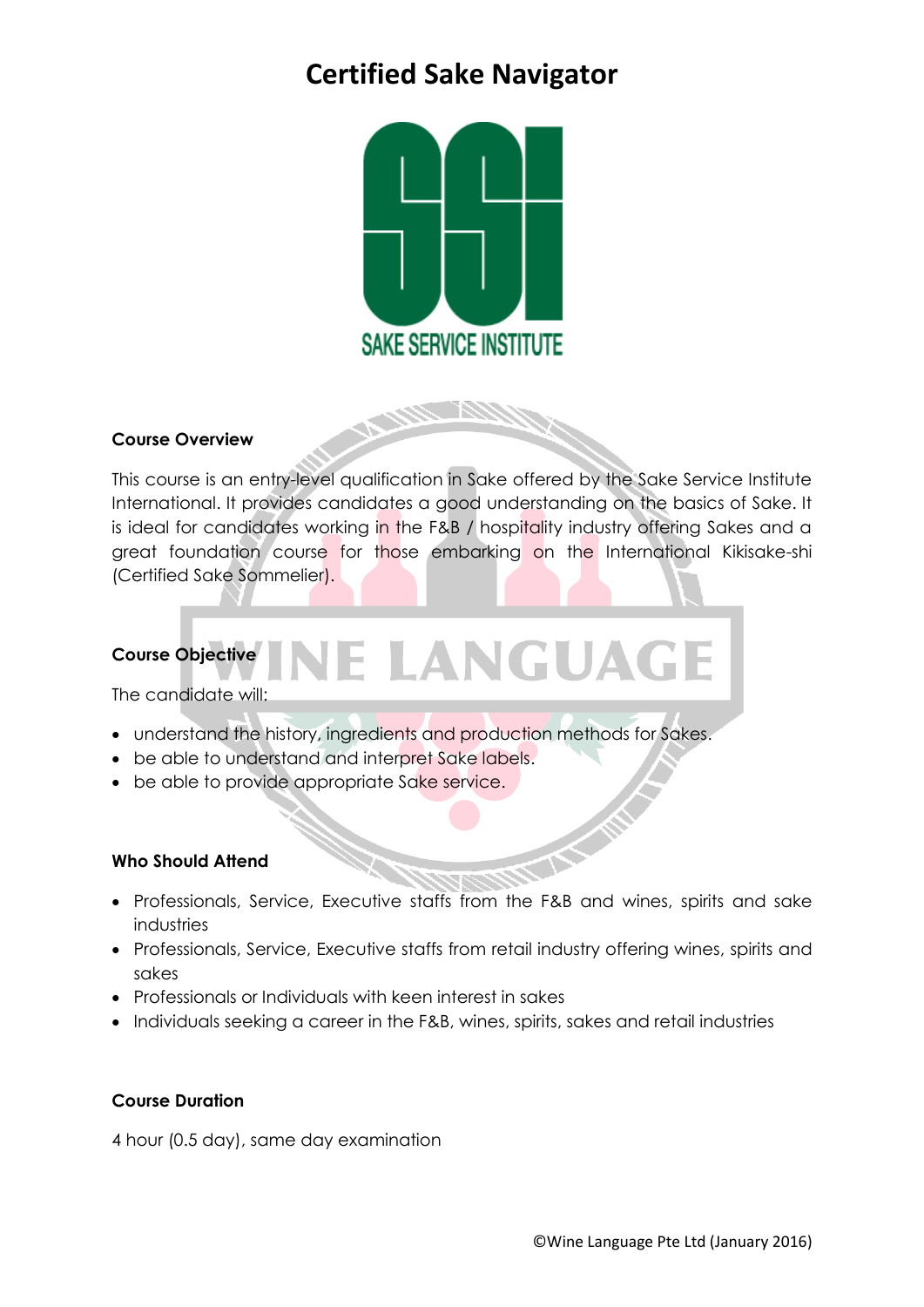# **Certified Sake Navigator**



### **Course Overview**

This course is an entry-level qualification in Sake offered by the Sake Service Institute International. It provides candidates a good understanding on the basics of Sake. It is ideal for candidates working in the F&B / hospitality industry offering Sakes and a great foundation course for those embarking on the International Kikisake-shi (Certified Sake Sommelier).

## LANGUAG **Course Objective**

The candidate will:

- understand the history, ingredients and production methods for Sakes.
- be able to understand and interpret Sake labels.
- be able to provide appropriate Sake service.

#### **Who Should Attend**

- Professionals, Service, Executive staffs from the F&B and wines, spirits and sake industries
- Professionals, Service, Executive staffs from retail industry offering wines, spirits and sakes
- Professionals or Individuals with keen interest in sakes
- Individuals seeking a career in the F&B, wines, spirits, sakes and retail industries

### **Course Duration**

4 hour (0.5 day), same day examination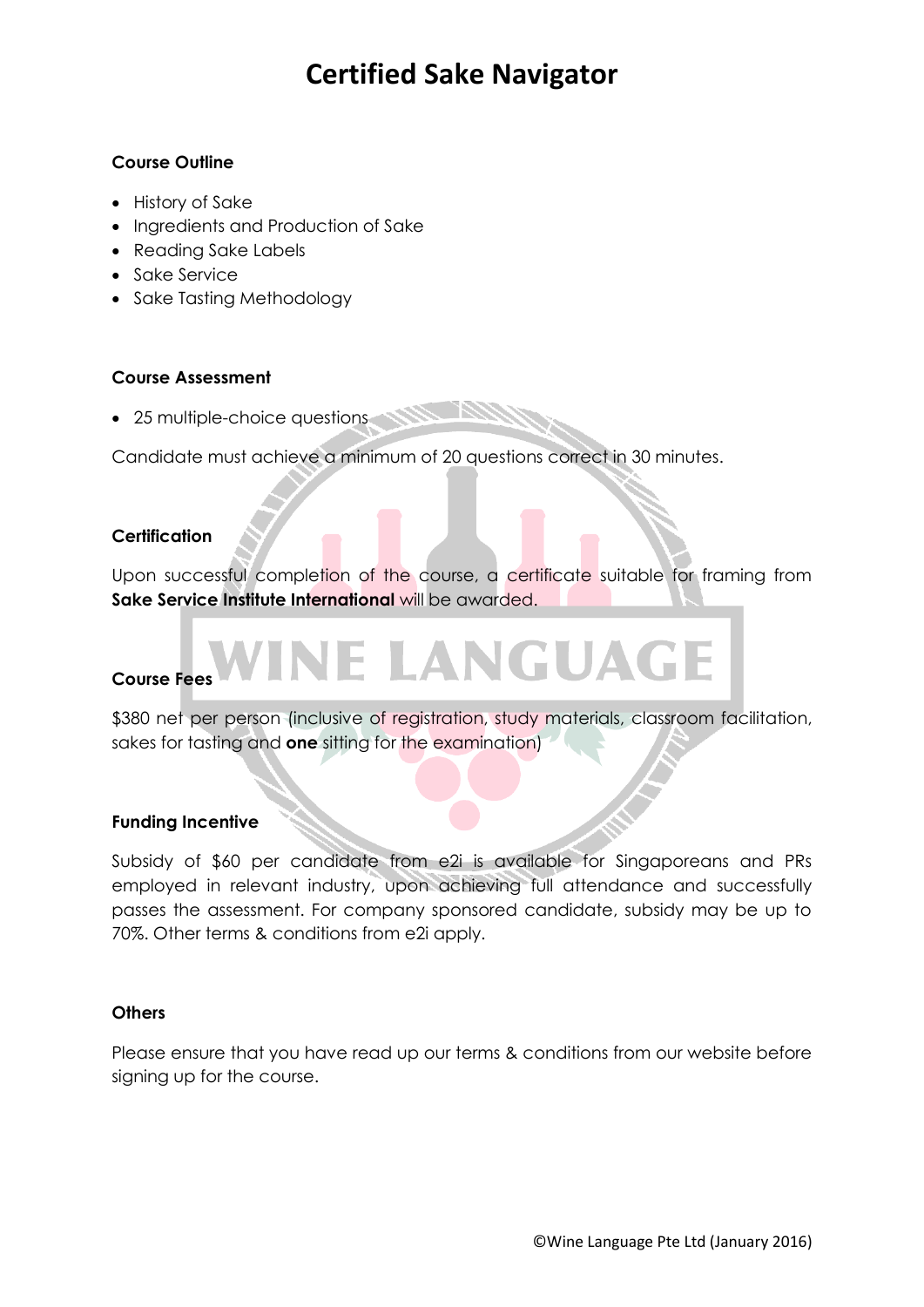# **Certified Sake Navigator**

### **Course Outline**

- History of Sake
- Ingredients and Production of Sake
- Reading Sake Labels
- Sake Service
- Sake Tasting Methodology

### **Course Assessment**

• 25 multiple-choice questions

Candidate must achieve a minimum of 20 questions correct in 30 minutes.

### **Certification**

Upon successful completion of the course, a certificate suitable for framing from **Sake Service Institute International** will be awarded.

### **Course Fees**

\$380 net per person (inclusive of registration, study materials, classroom facilitation, sakes for tasting and **one** sitting for the examination)

LANGUAGE

### **Funding Incentive**

Subsidy of \$60 per candidate from e2i is available for Singaporeans and PRs employed in relevant industry, upon achieving full attendance and successfully passes the assessment. For company sponsored candidate, subsidy may be up to 70%. Other terms & conditions from e2i apply.

#### **Others**

Please ensure that you have read up our terms & conditions from our website before signing up for the course.